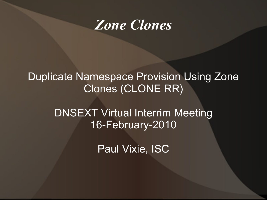

#### Duplicate Namespace Provision Using Zone Clones (CLONE RR)

DNSEXT Virtual Interrim Meeting 16-February-2010

Paul Vixie, ISC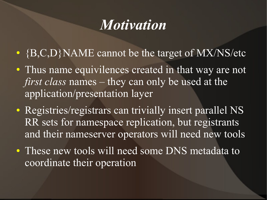## *Motivation*

- {B,C,D}NAME cannot be the target of MX/NS/etc
- Thus name equivilences created in that way are not *first class* names – they can only be used at the application/presentation layer
- Registries/registrars can trivially insert parallel NS RR sets for namespace replication, but registrants and their nameserver operators will need new tools
- These new tools will need some DNS metadata to coordinate their operation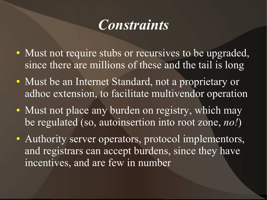## *Constraints*

- Must not require stubs or recursives to be upgraded, since there are millions of these and the tail is long
- Must be an Internet Standard, not a proprietary or adhoc extension, to facilitate multivendor operation
- Must not place any burden on registry, which may be regulated (so, autoinsertion into root zone, *no!*)
- Authority server operators, protocol implementors, and registrars can accept burdens, since they have incentives, and are few in number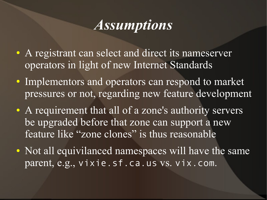## *Assumptions*

- A registrant can select and direct its nameserver operators in light of new Internet Standards
- Implementors and operators can respond to market pressures or not, regarding new feature development
- A requirement that all of a zone's authority servers be upgraded before that zone can support a new feature like "zone clones" is thus reasonable
- Not all equivilanced namespaces will have the same parent, e.g., vixie.sf.ca.us vs. vix.com.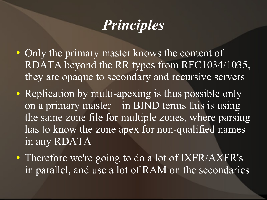# *Principles*

- Only the primary master knows the content of RDATA beyond the RR types from RFC1034/1035, they are opaque to secondary and recursive servers
- Replication by multi-apexing is thus possible only on a primary master  $-$  in BIND terms this is using the same zone file for multiple zones, where parsing has to know the zone apex for non-qualified names in any RDATA
- Therefore we're going to do a lot of IXFR/AXFR's in parallel, and use a lot of RAM on the secondaries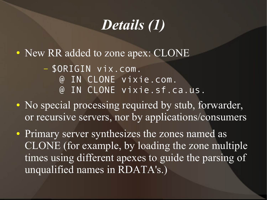## *Details (1)*

• New RR added to zone apex: CLONE

– \$ORIGIN vix.com. @ IN CLONE vixie.com. @ IN CLONE vixie.sf.ca.us.

• No special processing required by stub, forwarder, or recursive servers, nor by applications/consumers

• Primary server synthesizes the zones named as CLONE (for example, by loading the zone multiple times using different apexes to guide the parsing of unqualified names in RDATA's.)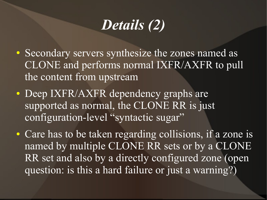# *Details (2)*

- Secondary servers synthesize the zones named as CLONE and performs normal IXFR/AXFR to pull the content from upstream
- Deep IXFR/AXFR dependency graphs are supported as normal, the CLONE RR is just configuration-level "syntactic sugar"
- Care has to be taken regarding collisions, if a zone is named by multiple CLONE RR sets or by a CLONE RR set and also by a directly configured zone (open question: is this a hard failure or just a warning?)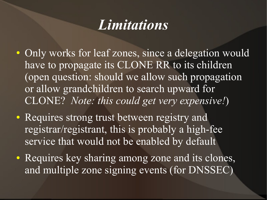## *Limitations*

- Only works for leaf zones, since a delegation would have to propagate its CLONE RR to its children (open question: should we allow such propagation or allow grandchildren to search upward for CLONE? *Note: this could get very expensive!*)
- Requires strong trust between registry and registrar/registrant, this is probably a high-fee service that would not be enabled by default
- Requires key sharing among zone and its clones, and multiple zone signing events (for DNSSEC)